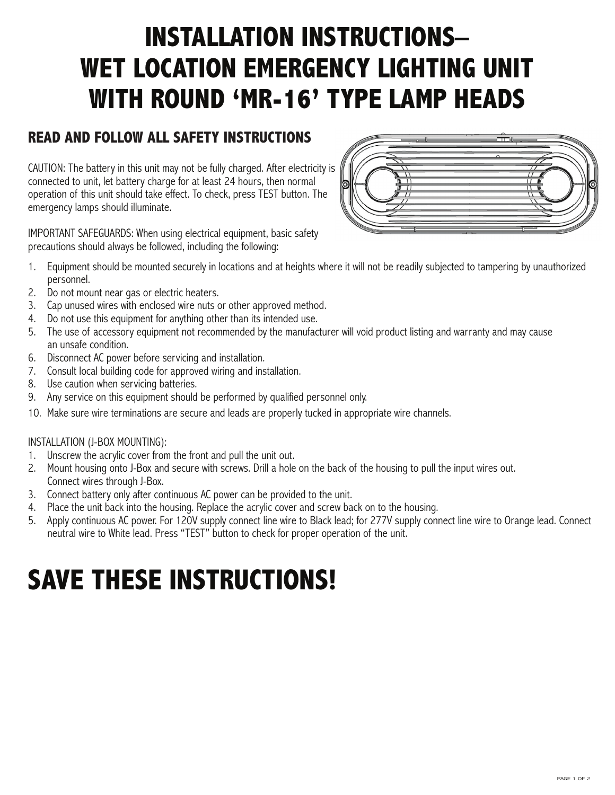## **INSTALLATION INSTRUCTIONS– WET LOCATION EMERGENCY LIGHTING UNIT WITH ROUND 'MR-16' TYPE LAMP HEADS**

## **READ AND FOLLOW ALL SAFETY INSTRUCTIONS**

CAUTION: The battery in this unit may not be fully charged. After electricity is connected to unit, let battery charge for at least 24 hours, then normal operation of this unit should take effect. To check, press TEST button. The emergency lamps should illuminate.



IMPORTANT SAFEGUARDS: When using electrical equipment, basic safety precautions should always be followed, including the following:

- 1. Equipment should be mounted securely in locations and at heights where it will not be readily subjected to tampering by unauthorized personnel.
- 2. Do not mount near gas or electric heaters.
- 3. Cap unused wires with enclosed wire nuts or other approved method.
- 4. Do not use this equipment for anything other than its intended use.
- 5. The use of accessory equipment not recommended by the manufacturer will void product listing and warranty and may cause an unsafe condition.
- 6. Disconnect AC power before servicing and installation.
- 7. Consult local building code for approved wiring and installation.
- 8. Use caution when servicing batteries.
- 9. Any service on this equipment should be performed by qualified personnel only.
- 10. Make sure wire terminations are secure and leads are properly tucked in appropriate wire channels.

#### INSTALLATION (J-BOX MOUNTING):

- 1. Unscrew the acrylic cover from the front and pull the unit out.
- 2. Mount housing onto J-Box and secure with screws. Drill a hole on the back of the housing to pull the input wires out. Connect wires through J-Box.
- 3. Connect battery only after continuous AC power can be provided to the unit.
- 4. Place the unit back into the housing. Replace the acrylic cover and screw back on to the housing.
- 5. Apply continuous AC power. For 120V supply connect line wire to Black lead; for 277V supply connect line wire to Orange lead. Connect neutral wire to White lead. Press "TEST" button to check for proper operation of the unit.

# **SAVE THESE INSTRUCTIONS!**